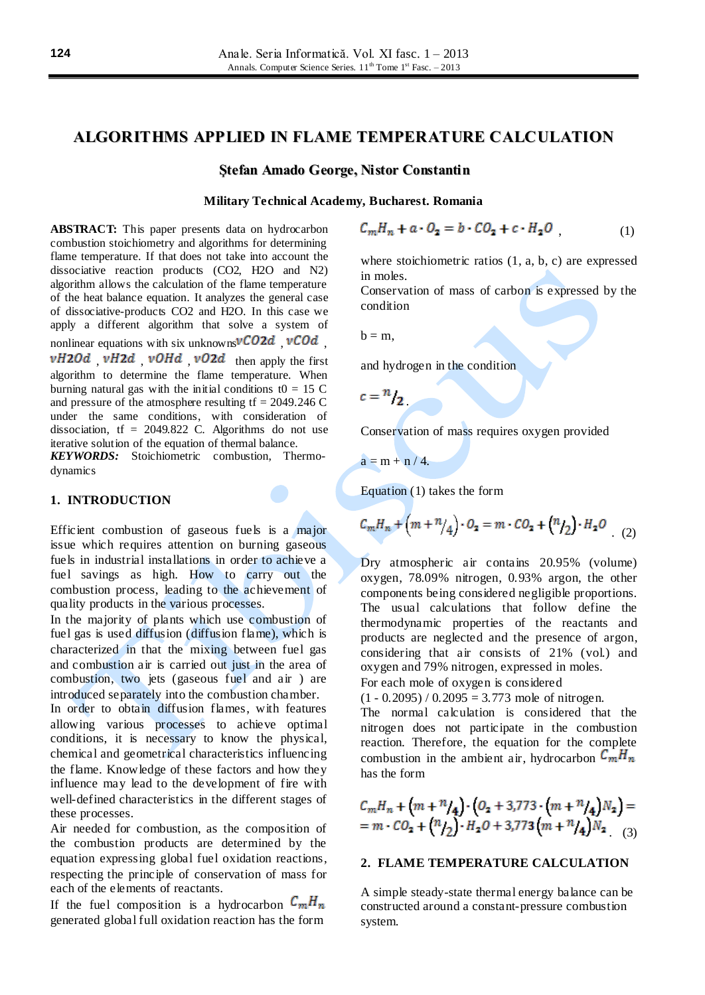# **ALGORITHMS APPLIED IN FLAME TEMPERATURE CALCULATION**

#### **Ştefan Amado George, Nistor Constantin**

#### **Military Technical Academy, Bucharest. Romania**

**ABSTRACT:** This paper presents data on hydrocarbon combustion stoichiometry and algorithms for determining flame temperature. If that does not take into account the dissociative reaction products (CO2, H2O and N2) algorithm allows the calculation of the flame temperature of the heat balance equation. It analyzes the general case of dissociative-products CO2 and H2O. In this case we apply a different algorithm that solve a system of nonlinear equations with six unknowns $\nu CO2d$ ,  $\nu COd$ ,  $vH20d$   $vH2d$   $vOHd$   $vO2d$  then apply the first algorithm to determine the flame temperature. When burning natural gas with the initial conditions t $0 = 15$  C and pressure of the atmosphere resulting  $tf = 2049.246$  C under the same conditions, with consideration of dissociation,  $tf = 2049.822$  C. Algorithms do not use iterative solution of the equation of thermal balance.

*KEYWORDS:* Stoichiometric combustion, Thermodynamics

#### **1. INTRODUCTION**

Efficient combustion of gaseous fuels is a major issue which requires attention on burning gaseous fuels in industrial installations in order to achieve a fuel savings as high. How to carry out the combustion process, leading to the achievement of quality products in the various processes.

In the majority of plants which use combustion of fuel gas is used diffusion (diffusion flame), which is characterized in that the mixing between fuel gas and combustion air is carried out just in the area of combustion, two jets (gaseous fuel and air ) are introduced separately into the combustion chamber.

In order to obtain diffusion flames, with features allowing various processes to achieve optimal conditions, it is necessary to know the physical, chemical and geometrical characteristics influencing the flame. Knowledge of these factors and how they influence may lead to the development of fire with well-defined characteristics in the different stages of these processes.

Air needed for combustion, as the composition of the combustion products are determined by the equation expressing global fuel oxidation reactions, respecting the principle of conservation of mass for each of the elements of reactants.

If the fuel composition is a hydrocarbon  $C_m H_n$ generated global full oxidation reaction has the form

$$
C_m H_n + a \cdot O_2 = b \cdot CO_2 + c \cdot H_2 O \tag{1}
$$

where stoichiometric ratios (1, a, b, c) are expressed in moles.

Conservation of mass of carbon is expressed by the condition

 $b = m$ .

and hydrogen in the condition

 $c = n$ 

Conservation of mass requires oxygen provided

$$
a=m+n/4.
$$

Equation (1) takes the form

$$
C_m H_n + (m + n/4) \cdot O_2 = m \cdot CO_2 + (n/2) \cdot H_2 O
$$
 (2)

Dry atmospheric air contains 20.95% (volume) oxygen, 78.09% nitrogen, 0.93% argon, the other components being considered negligible proportions. The usual calculations that follow define the thermodynamic properties of the reactants and products are neglected and the presence of argon, considering that air consists of 21% (vol.) and oxygen and 79% nitrogen, expressed in moles. For each mole of oxygen is considered

 $(1 - 0.2095) / 0.2095 = 3.773$  mole of nitrogen.

The normal calculation is considered that the nitrogen does not participate in the combustion reaction. Therefore, the equation for the complete combustion in the ambient air, hydrocarbon  $C_m H_n$ has the form

$$
C_m H_n + (m + n) \cdot (O_2 + 3,773 \cdot (m + n) \cdot 4) N_2
$$
  
=  $m \cdot CO_2 + (n) \cdot (n) \cdot (n + n) \cdot (m + n) \cdot (n) N_2$  (3)

#### **2. FLAME TEMPERATURE CALCULATION**

A simple steady-state thermal energy balance can be constructed around a constant-pressure combustion system.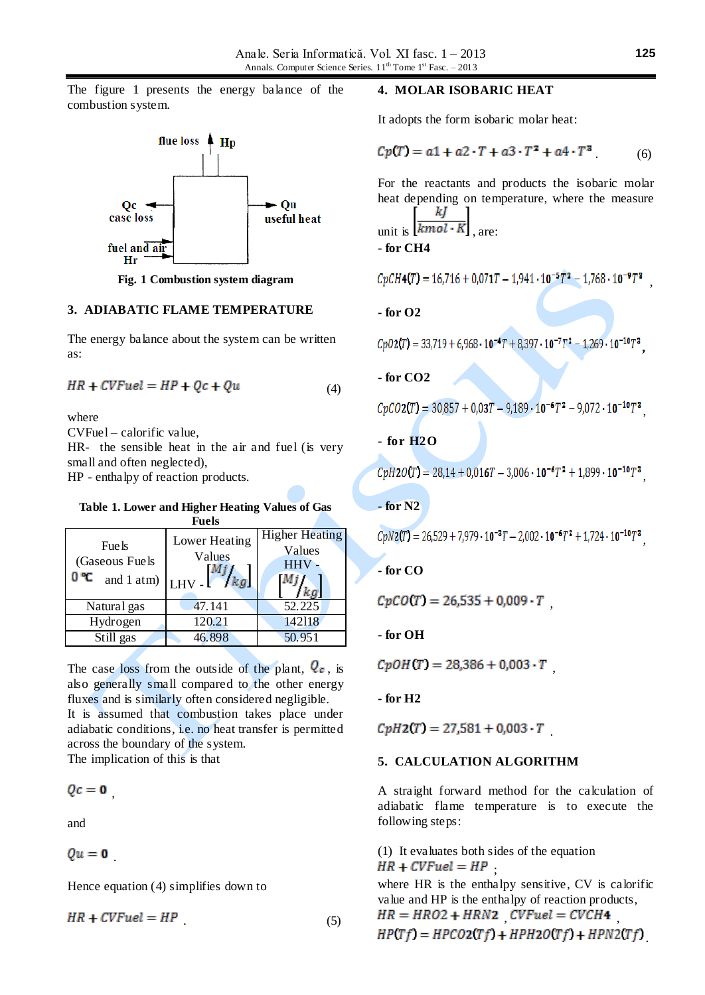The figure 1 presents the energy balance of the combustion system.



**Fig. 1 Combustion system diagram**

#### **3. ADIABATIC FLAME TEMPERATURE**

The energy balance about the system can be written as:

$$
HR + CVFuel = HP + Qc + Qu \tag{4}
$$

where

CVFuel – calorific value,

HR- the sensible heat in the air and fuel (is very small and often neglected),

HP - enthalpy of reaction products.

#### **Table 1. Lower and Higher Heating Values of Gas Fuels**

| Fue ls<br>(Gaseous Fuels<br>0 °C | Lower Heating<br>Values<br>and 1 atm) $\begin{bmatrix} LHV \end{bmatrix}$ /kg | <b>Higher Heating</b><br>Values<br><b>HHV</b> |
|----------------------------------|-------------------------------------------------------------------------------|-----------------------------------------------|
| Natural gas                      | 47.141                                                                        | 52.225                                        |
| Hydrogen                         | 120.21                                                                        | 142118                                        |
| $\overline{Still}$ gas           | 46.898                                                                        | 50.951                                        |

The case loss from the outside of the plant,  $Q_c$ , is also generally small compared to the other energy fluxes and is similarly often considered negligible. It is assumed that combustion takes place under adiabatic conditions, i.e. no heat transfer is permitted across the boundary of the system. The implication of this is that

 $Qc = 0$ 

and

 $Qu = 0$ 

Hence equation (4) simplifies down to

$$
HR + CVFuel = HP
$$
 (5)

#### **4. MOLAR ISOBARIC HEAT**

It adopts the form isobaric molar heat:

$$
Cp(T) = a1 + a2 \cdot T + a3 \cdot T^2 + a4 \cdot T^3 \tag{6}
$$

For the reactants and products the isobaric molar heat depending on temperature, where the measure kЈ unit is  $\overline{kmol\cdot K}$  are:

**- for CH4**

 $CpCH4(T) = 16.716 + 0.071T - 1.941 \cdot 10^{-5}T^{2} - 1.768 \cdot 10^{-9}T^{3}$ 

**- for O2**

 $CpO2(T) = 33,719 + 6,968 \cdot 10^{-4}T + 8,397 \cdot 10^{-7}T^2 - 1,269 \cdot 10^{-10}T^3$ 

**- for CO2**

$$
CpCO2(T) = 30,857 + 0,03T - 9,189 \cdot 10^{-6}T^2 - 9,072 \cdot 10^{-10}T^3
$$

# **- for H2O**

 $CvH2O(T) = 28.14 + 0.016T - 3.006 \cdot 10^{-6}T^2 + 1.899 \cdot 10^{-10}T^3$ 

# **- for N2**

 $CpN2(T) = 26,529 + 7,979 \cdot 10^{-3}T - 2,002 \cdot 10^{-6}T^2 + 1,724 \cdot 10^{-10}T^3$ 

**- for CO**

 $CpCO(T) = 26,535 + 0,009 \cdot T$ 

**- for OH**

 $CpOH(T) = 28,386 + 0,003 \cdot T$ 

**- for H2**

 $CpH2(T) = 27,581 + 0,003 \cdot T$ 

## **5. CALCULATION ALGORITHM**

A straight forward method for the calculation of adiabatic flame temperature is to execute the following steps:

(1) It evaluates both sides of the equation  $HR + CVFuel = HP$ 

where HR is the enthalpy sensitive, CV is calorific value and HP is the enthalpy of reaction products,  $HR = HRO2 + HRN2$   $CVFuel = CVCH4$  $HP(Tf) = HPCO2(Tf) + HPH2O(Tf) + HPN2(Tf)$ 

,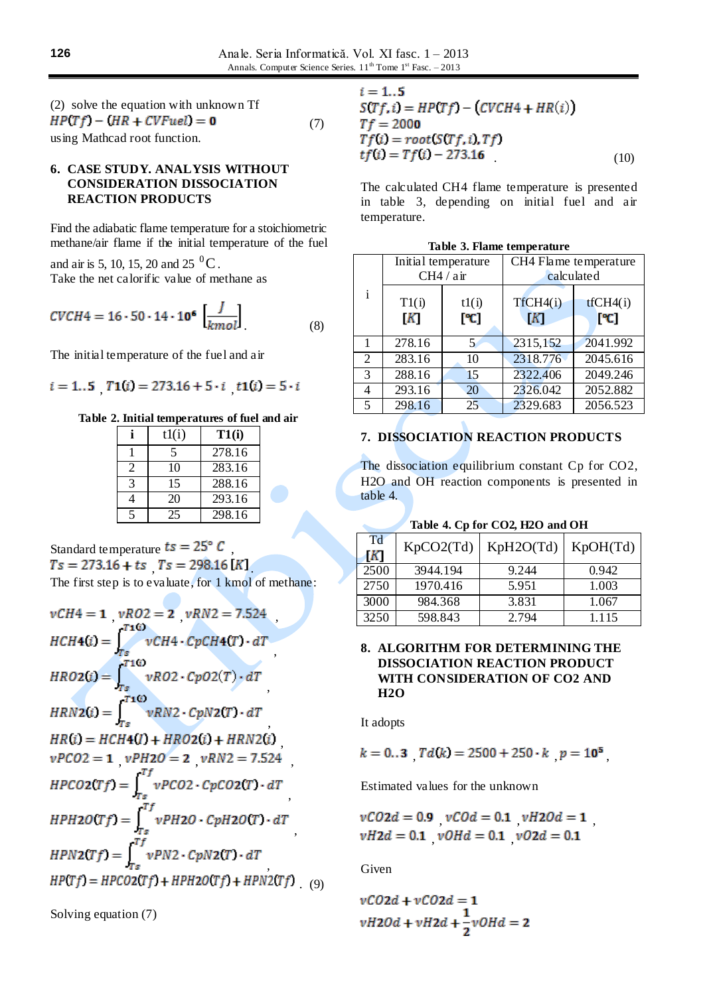| (2) solve the equation with unknown Tf |     |
|----------------------------------------|-----|
| $HP(Tf) - (HR + CVFuel) = 0$           | (7) |
| using Mathead root function.           |     |

## **6. CASE STUDY. ANALYSIS WITHOUT CONSIDERATION DISSOCIATION REACTION PRODUCTS**

Find the adiabatic flame temperature for a stoichiometric methane/air flame if the initial temperature of the fuel

and air is 5, 10, 15, 20 and 25  $^0$ C. Take the net calorific value of methane as

$$
CVCH4 = 16 \cdot 50 \cdot 14 \cdot 10^6 \left[ \frac{J}{kmol} \right] \tag{8}
$$

The initial temperature of the fuel and air

$$
i = 1..5 \quad T1(i) = 273.16 + 5 \cdot i \quad t1(i) = 5 \cdot i
$$

## **Table 2. Initial temperatures of fuel and air**

| tl(i)                    | T1(i)  |
|--------------------------|--------|
| $\overline{\phantom{0}}$ | 278.16 |
| 10                       | 283.16 |
| 15                       | 288.16 |
| 20                       | 293.16 |
|                          | 298.16 |

Standard temperature  $ts = 25^\circ C$ ,  $Ts = 273.16 + ts$   $Ts = 298.16 [K]$ The first step is to evaluate, for 1 kmol of methane:

$$
vCH4 = 1 \quad vRO2 = 2 \quad vRN2 = 7.524
$$
\n
$$
HCH4(i) = \int_{Ts}^{T10} vCH4 \cdot CpCH4(T) \cdot dT
$$
\n
$$
HR02(i) = \int_{Ts}^{T10} vRO2 \cdot Cp02(T) \cdot dT
$$
\n
$$
HRN2(i) = \int_{Ts}^{T10} vRN2 \cdot CpN2(T) \cdot dT
$$
\n
$$
HR(i) = HCH4(I) + HR02(i) + HRN2(i)
$$
\n
$$
vPC02 = 1 \quad vPH20 = 2 \quad vRN2 = 7.524
$$
\n
$$
HPCO2(Tf) = \int_{Ts}^{Tf} vPC02 \cdot CpC02(T) \cdot dT
$$
\n
$$
HPH20(Tf) = \int_{Ts}^{Tf} vPH20 \cdot CpH20(T) \cdot dT
$$
\n
$$
HPN2(Tf) = \int_{Ts}^{Tf} vPN2 \cdot CpN2(T) \cdot dT
$$
\n
$$
HP(Tf) = HP02(Tf) + HPH20(Tf) + HPN2(Tf) \quad (9)
$$

Solving equation (7)

| $i = 15$                              |      |
|---------------------------------------|------|
| $S(Tf, i) = HP(Tf) - (CVCH4 + HR(i))$ |      |
| $Tf = 2000$                           |      |
| $Tf(i) = root(STf, i), Tf$            |      |
| $tf(i) = Tf(i) - 273.16$              | (10) |

The calculated CH4 flame temperature is presented in table 3, depending on initial fuel and air temperature.

|   |            | Initial temperature<br>CH4 / air | CH4 Flame temperature | calculated      |
|---|------------|----------------------------------|-----------------------|-----------------|
| i | T1(i)<br>K | tl(i)<br>[°C]                    | TfCH4(i)<br> K        | tCH4(i)<br>[°C] |
|   | 278.16     | 5.                               | 2315,152              | 2041.992        |
| 2 | 283.16     | 10                               | 2318.776              | 2045.616        |
| 3 | 288.16     | 15                               | 2322.406              | 2049.246        |
| 4 | 293.16     | 20                               | 2326.042              | 2052.882        |
| 5 | 298.16     | 25                               | 2329.683              | 2056.523        |

|  |  | Table 3. Flame temperature |
|--|--|----------------------------|
|--|--|----------------------------|

# **7. DISSOCIATION REACTION PRODUCTS**

The dissociation equilibrium constant Cp for CO2, H2O and OH reaction components is presented in table 4.

| Table 4. Cp for CO2, H2O and OH |  |  |  |
|---------------------------------|--|--|--|
|                                 |  |  |  |

| Td<br>ſК | KpCO2(Td) | KpH2O(Td) | KpOH(Td) |
|----------|-----------|-----------|----------|
| 2500     | 3944.194  | 9.244     | 0.942    |
| 2750     | 1970.416  | 5.951     | 1.003    |
| 3000     | 984.368   | 3.831     | 1.067    |
| 3250     | 598.843   | 2.794     | 1.115    |

# **8. ALGORITHM FOR DETERMINING THE DISSOCIATION REACTION PRODUCT WITH CONSIDERATION OF CO2 AND H2O**

It adopts

$$
k = 0..3 \quad Td(k) = 2500 + 250 \cdot k \quad p = 10^5
$$

Estimated values for the unknown

$$
\begin{aligned} vCO2d &= 0.9 \quad vCOd = 0.1 \quad vH2Od = 1\\ vH2d &= 0.1 \quad vOHd = 0.1 \quad vO2d = 0.1 \end{aligned}
$$

Given

$$
vCO2d + vCO2d = 1
$$
  

$$
vH2Od + vH2d + \frac{1}{2}vOHd = 2
$$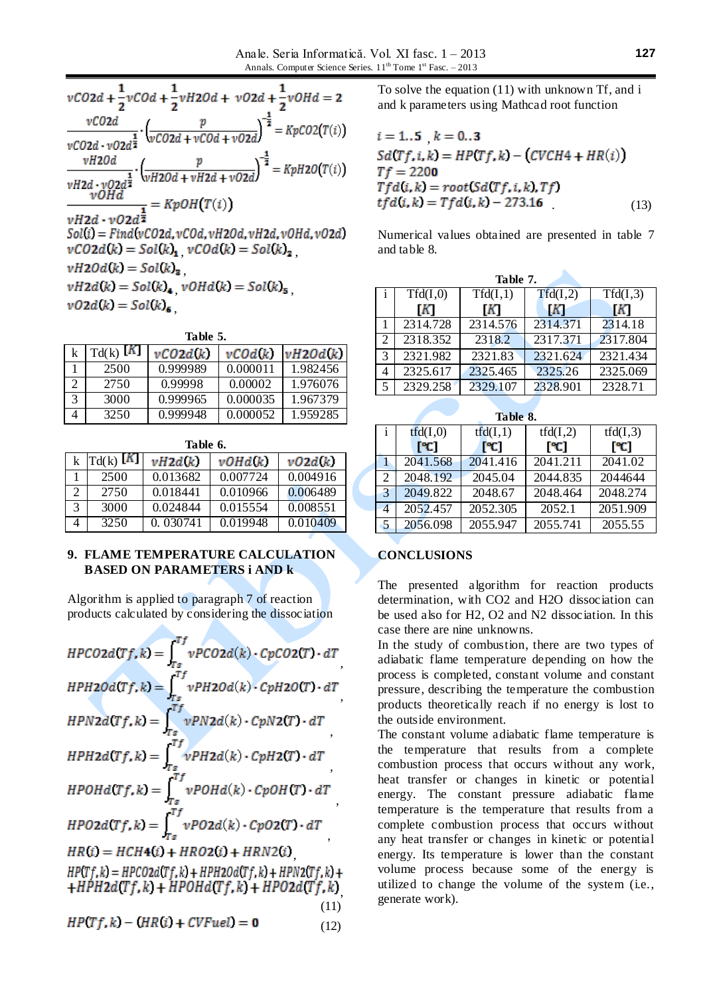$$
vCO2d + \frac{1}{2}vCOd + \frac{1}{2}vH2Od + vO2d + \frac{1}{2}vOHd = 2
$$
  
\n
$$
\frac{vCO2d}{vCO2d \cdot vO2d^{\frac{1}{2}}} \cdot \left(\frac{p}{vCO2d + vCOd + vO2d}\right)^{-\frac{1}{2}} = KpCO2(T(i))
$$
  
\n
$$
\frac{vH20d}{vH2d \cdot vO2d^{\frac{1}{2}}} \cdot \left(\frac{p}{vH20d + vH2d + vO2d}\right)^{-\frac{1}{2}} = KpH2O(T(i))
$$
  
\n
$$
\frac{vOHd}{vOHd} = KpOH(T(i))
$$
  
\n
$$
Sol(i) = Find(vCO2d, vCOd, vH20d, vH2d, vOHd, vO2d)
$$
  
\n
$$
vCO2d(k) = Sol(k)_{1}, vCOd(k) = Sol(k)_{2},
$$
  
\n
$$
vH2Od(k) = Sol(k)_{3},
$$
  
\n
$$
vH2d(k) = Sol(k)_{4}, vOHd(k) = Sol(k)_{5},
$$
  
\n
$$
vO2d(k) = Sol(k)_{6},
$$

**Table 5.**

| k | $Td(k)$ [K] | vCO2d(k) | vC0d(k)  | vH2Od(k) |
|---|-------------|----------|----------|----------|
|   | 2500        | 0.999989 | 0.000011 | 1.982456 |
|   | 2750        | 0.99998  | 0.00002  | 1.976076 |
| 3 | 3000        | 0.999965 | 0.000035 | 1.967379 |
|   | 3250        | 0.999948 | 0.000052 | 1.959285 |

| Table 6. |                 |          |          |          |  |
|----------|-----------------|----------|----------|----------|--|
|          | k $Td(k)$ $[K]$ | vH2d(k)  | vOHd(k)  | vO2d(k)  |  |
|          | 2500            | 0.013682 | 0.007724 | 0.004916 |  |
|          | 2750            | 0.018441 | 0.010966 | 0.006489 |  |
| 3        | 3000            | 0.024844 | 0.015554 | 0.008551 |  |
|          | 3250            | 0.030741 | 0.019948 | 0.010409 |  |

## **9. FLAME TEMPERATURE CALCULATION BASED ON PARAMETERS i AND k**

Algorithm is applied to paragraph 7 of reaction products calculated by considering the dissociation

| $HPCO2d(Tf,k) = \int_{-\infty}^{T} vPCO2d(k) \cdot CpCO2(T) \cdot dT$                                              |
|--------------------------------------------------------------------------------------------------------------------|
| $HPH2Od(Tf,k) = \int_{0}^{Tf} vPH2Od(k) \cdot CpH2O(T) \cdot dT$                                                   |
| $HPN2d(Tf,k) = \int_{\tau_1}^{Tf} vPN2d(k) \cdot CpN2(T) \cdot dT$                                                 |
| $HPH2d(Tf,k) = \int_{\pi}^{Tf} vPH2d(k) \cdot CpH2(T) \cdot dT$                                                    |
| $\label{eq:HP} HPOHd(Tf,k) = \int_{-\infty}^{Tf} vPOHd(k) \cdot CpOH(T) \cdot dT$                                  |
| $\label{eq:HPO2d} HPO2d(Tf,k) = \int_{r_c}^{Tf} vPO2d(k) \cdot CpO2(T) \cdot dT$                                   |
| $HR(i) = HCH4(i) + HRO2(i) + HRN2(i)$                                                                              |
| $\begin{array}{l} HP(Tf,k)=HPCO2d(Tf,k)+HPH2Od(Tf,k)+HPN2(Tf,k)+\\+HPH2d(Tf,k)+HPOHd(Tf,k)+HPO2d(Tf,k)\end{array}$ |
| (11)                                                                                                               |
| $HP(Tf, k) - (HR(i) + CVFuel) = 0$<br>(12)                                                                         |

To solve the equation (11) with unknown Tf, and i and k parameters using Mathcad root function

$$
i = 1..5 \t k = 0..3
$$
  
\n
$$
Sd(Tf, i, k) = HP(Tf, k) - (CVCH4 + HR(i))
$$
  
\n
$$
Tf = 2200
$$
  
\n
$$
Tfd(i, k) = root(Sd(Tf, i, k), Tf)
$$
  
\n
$$
tfd(i, k) = Tfd(i, k) - 273.16
$$
 (13)

Numerical values obtained are presented in table 7 and table 8.

|   | Table 7. |          |          |          |  |  |
|---|----------|----------|----------|----------|--|--|
|   | Tfd(I,0) | Tfd(I,1) | Tfd(I,2) | Tfd(I,3) |  |  |
|   | K        | K        | K        | K        |  |  |
|   | 2314.728 | 2314.576 | 2314.371 | 2314.18  |  |  |
|   | 2318.352 | 2318.2   | 2317.371 | 2317.804 |  |  |
| 3 | 2321.982 | 2321.83  | 2321.624 | 2321.434 |  |  |
| 4 | 2325.617 | 2325.465 | 2325.26  | 2325.069 |  |  |
| 5 | 2329.258 | 2329.107 | 2328.901 | 2328.71  |  |  |

| Table 8. |                           |          |                     |          |  |  |  |
|----------|---------------------------|----------|---------------------|----------|--|--|--|
| Ť        | tfd(I,0)                  | tfd(I,1) | tfd(I,2)            | tfd(I,3) |  |  |  |
|          | $\mathsf{P}^{\mathsf{c}}$ | [°C]     | [°C]                | [°C]     |  |  |  |
|          | 2041.568                  | 2041.416 | 2041.211            | 2041.02  |  |  |  |
| 2        | 2048.192                  | 2045.04  | 2044.835            | 2044644  |  |  |  |
| 3        | 2049.822                  | 2048.67  | 2048.464            | 2048.274 |  |  |  |
| 4        | 2052.457                  | 2052.305 | $\overline{2052.1}$ | 2051.909 |  |  |  |
| 5        | 2056.098                  | 2055.947 | 2055.741            | 2055.55  |  |  |  |

# **CONCLUSIONS**

The presented algorithm for reaction products determination, with CO2 and H2O dissociation can be used also for H2, O2 and N2 dissociation. In this case there are nine unknowns.

In the study of [combustion,](http://en.wikipedia.org/wiki/Combustion) there are two types of adiabatic flame temperature depending on how the process is completed, constant volume and constant pressure, describing the temperature the combustion products theoretically reach if no energy is lost to the outside environment.

The constant volume adiabatic flame temperature is the [temperature](http://en.wikipedia.org/wiki/Temperature) that results from a complete [combustion](http://en.wikipedia.org/wiki/Combustion) process that occurs without any [work,](http://en.wikipedia.org/wiki/Work_%28thermodynamics%29) [heat transfer](http://en.wikipedia.org/wiki/Heat_transfer) or changes in [kinetic](http://en.wikipedia.org/wiki/Kinetic_energy) or [potential](http://en.wikipedia.org/wiki/Potential_energy)  [energy.](http://en.wikipedia.org/wiki/Potential_energy) The constant pressure [adiabatic](http://en.wikipedia.org/wiki/Adiabatic_Process) flame temperature is the temperature that results from a complete combustion process that occurs without any heat transfer or changes in kinetic or potential energy. Its temperature is lower than the constant volume process because some of the energy is utilized to change the volume of the system (i.e., generate work).